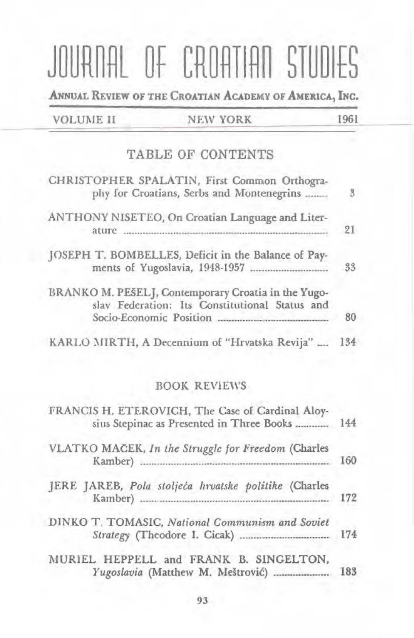# JOURNAL OF CROATIAN STUDIES

ANNUAL REVIEW OF THE CROATIAN ACADEMY OF AMERICA, INC.

|  |  | <b>VOLUME II</b> |  |
|--|--|------------------|--|
|  |  |                  |  |

### **NEW YORK**

1961

# **TABLE OF CONTENTS**

| CHRISTOPHER SPALATIN, First Common Orthogra-<br>phy for Croatians, Serbs and Montenegrins             | $\mathfrak{g}$ |
|-------------------------------------------------------------------------------------------------------|----------------|
| ANTHONY NISETEO, On Croatian Language and Liter-                                                      | 21             |
| JOSEPH T. BOMBELLES, Deficit in the Balance of Pay-                                                   | 33             |
| BRANKO M. PEŠELJ, Contemporary Croatia in the Yugo-<br>slav Federation: Its Constitutional Status and | 80             |
| KARLO MIRTH, A Decennium of "Hrvatska Revija"                                                         | 134            |

## **BOOK REVIEWS**

| FRANCIS H. ETEROVICH, The Case of Cardinal Aloy-<br>sius Stepinac as Presented in Three Books  144 |     |
|----------------------------------------------------------------------------------------------------|-----|
| VLATKO MAČEK, In the Struggle for Freedom (Charles                                                 | 160 |
| JERE JAREB, Pola stoljeća hrvatske politike (Charles                                               | 172 |
| DINKO T. TOMASIC, National Communism and Soviet<br>Strategy (Theodore I. Cicak)  174               |     |
| MURIEL HEPPELL and FRANK B. SINGELTON,<br>Yugoslavia (Matthew M. Meštrović)                        | 183 |